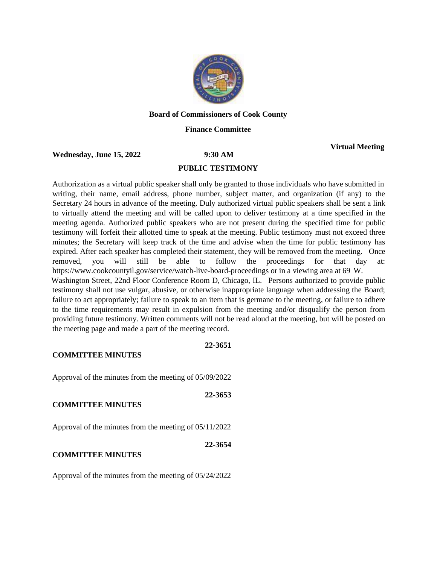

### **Board of Commissioners of Cook County**

### **Finance Committee**

**Wednesday, June 15, 2022 9:30 AM**

**Virtual Meeting**

#### **PUBLIC TESTIMONY**

Authorization as a virtual public speaker shall only be granted to those individuals who have submitted in writing, their name, email address, phone number, subject matter, and organization (if any) to the Secretary 24 hours in advance of the meeting. Duly authorized virtual public speakers shall be sent a link to virtually attend the meeting and will be called upon to deliver testimony at a time specified in the meeting agenda. Authorized public speakers who are not present during the specified time for public testimony will forfeit their allotted time to speak at the meeting. Public testimony must not exceed three minutes; the Secretary will keep track of the time and advise when the time for public testimony has expired. After each speaker has completed their statement, they will be removed from the meeting. Once removed, you will still be able to follow the proceedings for that day at: https://www.cookcountyil.gov/service/watch-live-board-proceedings or in a viewing area at 69 W. Washington Street, 22nd Floor Conference Room D, Chicago, IL. Persons authorized to provide public testimony shall not use vulgar, abusive, or otherwise inappropriate language when addressing the Board; failure to act appropriately; failure to speak to an item that is germane to the meeting, or failure to adhere to the time requirements may result in expulsion from the meeting and/or disqualify the person from providing future testimony. Written comments will not be read aloud at the meeting, but will be posted on the meeting page and made a part of the meeting record.

#### **COMMITTEE MINUTES**

Approval of the minutes from the meeting of 05/09/2022

**22-3653**

**22-3651**

#### **COMMITTEE MINUTES**

Approval of the minutes from the meeting of 05/11/2022

**22-3654**

### **COMMITTEE MINUTES**

Approval of the minutes from the meeting of 05/24/2022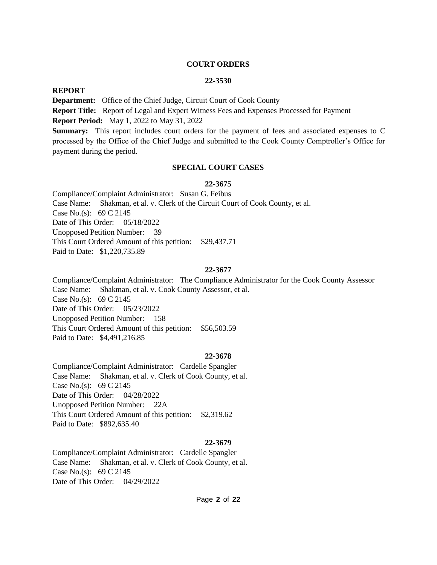#### **COURT ORDERS**

### **22-3530**

### **REPORT**

payment during the period.

**Department:** Office of the Chief Judge, Circuit Court of Cook County **Report Title:** Report of Legal and Expert Witness Fees and Expenses Processed for Payment **Report Period:** May 1, 2022 to May 31, 2022 **Summary:** This report includes court orders for the payment of fees and associated expenses to C processed by the Office of the Chief Judge and submitted to the Cook County Comptroller's Office for

## **SPECIAL COURT CASES**

#### **22-3675**

Compliance/Complaint Administrator: Susan G. Feibus Case Name: Shakman, et al. v. Clerk of the Circuit Court of Cook County, et al. Case No.(s): 69 C 2145 Date of This Order: 05/18/2022 Unopposed Petition Number: 39 This Court Ordered Amount of this petition: \$29,437.71 Paid to Date: \$1,220,735.89

#### **22-3677**

Compliance/Complaint Administrator: The Compliance Administrator for the Cook County Assessor Case Name: Shakman, et al. v. Cook County Assessor, et al. Case No.(s): 69 C 2145 Date of This Order: 05/23/2022 Unopposed Petition Number: 158 This Court Ordered Amount of this petition: \$56,503.59 Paid to Date: \$4,491,216.85

#### **22-3678**

Compliance/Complaint Administrator: Cardelle Spangler Case Name: Shakman, et al. v. Clerk of Cook County, et al. Case No.(s): 69 C 2145 Date of This Order: 04/28/2022 Unopposed Petition Number: 22A This Court Ordered Amount of this petition: \$2,319.62 Paid to Date: \$892,635.40

#### **22-3679**

Compliance/Complaint Administrator: Cardelle Spangler Case Name: Shakman, et al. v. Clerk of Cook County, et al. Case No.(s): 69 C 2145 Date of This Order: 04/29/2022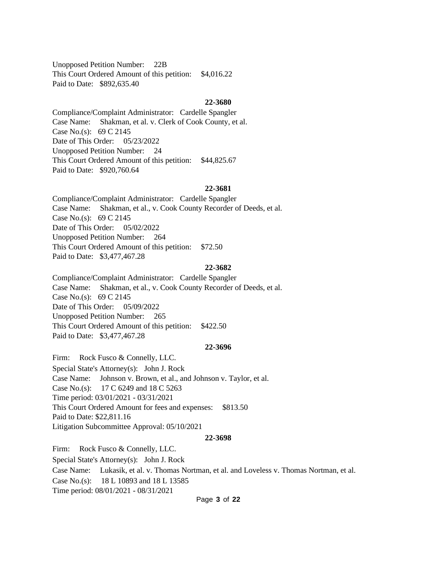Unopposed Petition Number: 22B This Court Ordered Amount of this petition: \$4,016.22 Paid to Date: \$892,635.40

#### **22-3680**

Compliance/Complaint Administrator: Cardelle Spangler Case Name: Shakman, et al. v. Clerk of Cook County, et al. Case No.(s): 69 C 2145 Date of This Order: 05/23/2022 Unopposed Petition Number: 24 This Court Ordered Amount of this petition: \$44,825.67 Paid to Date: \$920,760.64

#### **22-3681**

Compliance/Complaint Administrator: Cardelle Spangler Case Name: Shakman, et al., v. Cook County Recorder of Deeds, et al. Case No.(s): 69 C 2145 Date of This Order: 05/02/2022 Unopposed Petition Number: 264 This Court Ordered Amount of this petition: \$72.50 Paid to Date: \$3,477,467.28

#### **22-3682**

Compliance/Complaint Administrator: Cardelle Spangler Case Name: Shakman, et al., v. Cook County Recorder of Deeds, et al. Case No.(s): 69 C 2145 Date of This Order: 05/09/2022 Unopposed Petition Number: 265 This Court Ordered Amount of this petition: \$422.50 Paid to Date: \$3,477,467.28

#### **22-3696**

Firm: Rock Fusco & Connelly, LLC. Special State's Attorney(s): John J. Rock Case Name: Johnson v. Brown, et al., and Johnson v. Taylor, et al. Case No.(s): 17 C 6249 and 18 C 5263 Time period: 03/01/2021 - 03/31/2021 This Court Ordered Amount for fees and expenses: \$813.50 Paid to Date: \$22,811.16 Litigation Subcommittee Approval: 05/10/2021

#### **22-3698**

Firm: Rock Fusco & Connelly, LLC. Special State's Attorney(s): John J. Rock Case Name: Lukasik, et al. v. Thomas Nortman, et al. and Loveless v. Thomas Nortman, et al. Case No.(s): 18 L 10893 and 18 L 13585 Time period: 08/01/2021 - 08/31/2021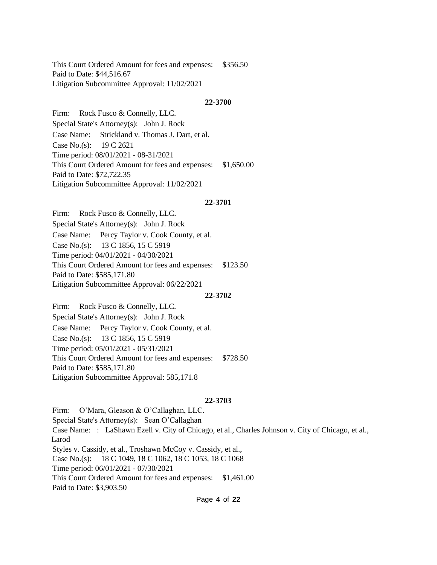This Court Ordered Amount for fees and expenses: \$356.50 Paid to Date: \$44,516.67 Litigation Subcommittee Approval: 11/02/2021

#### **22-3700**

Firm: Rock Fusco & Connelly, LLC. Special State's Attorney(s): John J. Rock Case Name: Strickland v. Thomas J. Dart, et al. Case No.(s): 19 C 2621 Time period: 08/01/2021 - 08-31/2021 This Court Ordered Amount for fees and expenses: \$1,650.00 Paid to Date: \$72,722.35 Litigation Subcommittee Approval: 11/02/2021

#### **22-3701**

Firm: Rock Fusco & Connelly, LLC. Special State's Attorney(s): John J. Rock Case Name: Percy Taylor v. Cook County, et al. Case No.(s): 13 C 1856, 15 C 5919 Time period: 04/01/2021 - 04/30/2021 This Court Ordered Amount for fees and expenses: \$123.50 Paid to Date: \$585,171.80 Litigation Subcommittee Approval: 06/22/2021

#### **22-3702**

Firm: Rock Fusco & Connelly, LLC. Special State's Attorney(s): John J. Rock Case Name: Percy Taylor v. Cook County, et al. Case No.(s): 13 C 1856, 15 C 5919 Time period: 05/01/2021 - 05/31/2021 This Court Ordered Amount for fees and expenses: \$728.50 Paid to Date: \$585,171.80 Litigation Subcommittee Approval: 585,171.8

#### **22-3703**

Firm: O'Mara, Gleason & O'Callaghan, LLC. Special State's Attorney(s): Sean O'Callaghan Case Name: : LaShawn Ezell v. City of Chicago, et al., Charles Johnson v. City of Chicago, et al., Larod Styles v. Cassidy, et al., Troshawn McCoy v. Cassidy, et al., Case No.(s): 18 C 1049, 18 C 1062, 18 C 1053, 18 C 1068 Time period: 06/01/2021 - 07/30/2021 This Court Ordered Amount for fees and expenses: \$1,461.00 Paid to Date: \$3,903.50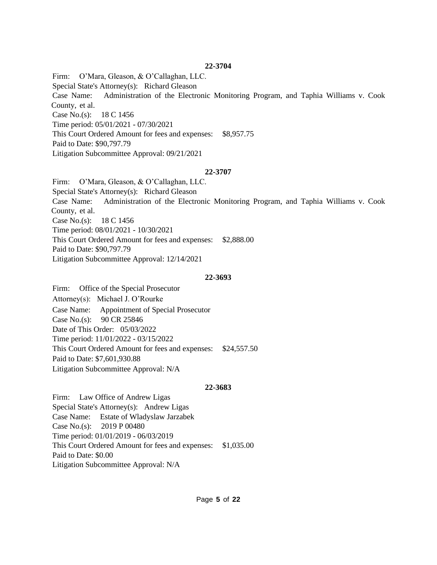Firm: O'Mara, Gleason, & O'Callaghan, LLC. Special State's Attorney(s): Richard Gleason Case Name: Administration of the Electronic Monitoring Program, and Taphia Williams v. Cook County, et al. Case No.(s): 18 C 1456 Time period: 05/01/2021 - 07/30/2021 This Court Ordered Amount for fees and expenses: \$8,957.75 Paid to Date: \$90,797.79 Litigation Subcommittee Approval: 09/21/2021

### **22-3707**

Firm: O'Mara, Gleason, & O'Callaghan, LLC. Special State's Attorney(s): Richard Gleason Case Name: Administration of the Electronic Monitoring Program, and Taphia Williams v. Cook County, et al. Case No.(s): 18 C 1456 Time period: 08/01/2021 - 10/30/2021 This Court Ordered Amount for fees and expenses: \$2,888.00 Paid to Date: \$90,797.79 Litigation Subcommittee Approval: 12/14/2021

### **22-3693**

Firm: Office of the Special Prosecutor Attorney(s): Michael J. O'Rourke Case Name: Appointment of Special Prosecutor Case No.(s): 90 CR 25846 Date of This Order: 05/03/2022 Time period: 11/01/2022 - 03/15/2022 This Court Ordered Amount for fees and expenses: \$24,557.50 Paid to Date: \$7,601,930.88 Litigation Subcommittee Approval: N/A

#### **22-3683**

Firm: Law Office of Andrew Ligas Special State's Attorney(s): Andrew Ligas Case Name: Estate of Wladyslaw Jarzabek Case No.(s): 2019 P 00480 Time period: 01/01/2019 - 06/03/2019 This Court Ordered Amount for fees and expenses: \$1,035.00 Paid to Date: \$0.00 Litigation Subcommittee Approval: N/A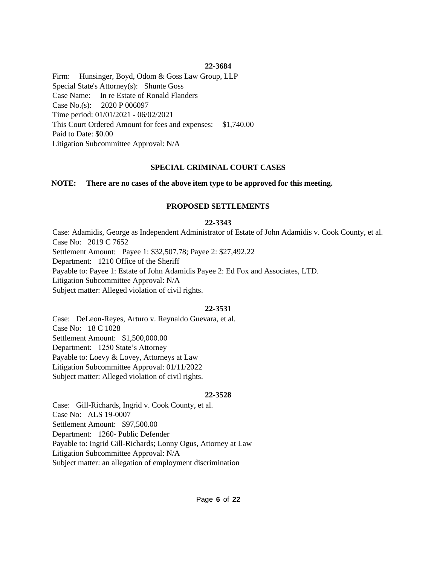Firm: Hunsinger, Boyd, Odom & Goss Law Group, LLP Special State's Attorney(s): Shunte Goss Case Name: In re Estate of Ronald Flanders Case No.(s): 2020 P 006097 Time period: 01/01/2021 - 06/02/2021 This Court Ordered Amount for fees and expenses: \$1,740.00 Paid to Date: \$0.00 Litigation Subcommittee Approval: N/A

## **SPECIAL CRIMINAL COURT CASES**

## **NOTE: There are no cases of the above item type to be approved for this meeting.**

## **PROPOSED SETTLEMENTS**

## **22-3343**

Case: Adamidis, George as Independent Administrator of Estate of John Adamidis v. Cook County, et al. Case No: 2019 C 7652 Settlement Amount: Payee 1: \$32,507.78; Payee 2: \$27,492.22 Department: 1210 Office of the Sheriff Payable to: Payee 1: Estate of John Adamidis Payee 2: Ed Fox and Associates, LTD. Litigation Subcommittee Approval: N/A Subject matter: Alleged violation of civil rights.

## **22-3531**

Case: DeLeon-Reyes, Arturo v. Reynaldo Guevara, et al. Case No: 18 C 1028 Settlement Amount: \$1,500,000.00 Department: 1250 State's Attorney Payable to: Loevy & Lovey, Attorneys at Law Litigation Subcommittee Approval: 01/11/2022 Subject matter: Alleged violation of civil rights.

## **22-3528**

Case: Gill-Richards, Ingrid v. Cook County, et al. Case No: ALS 19-0007 Settlement Amount: \$97,500.00 Department: 1260- Public Defender Payable to: Ingrid Gill-Richards; Lonny Ogus, Attorney at Law Litigation Subcommittee Approval: N/A Subject matter: an allegation of employment discrimination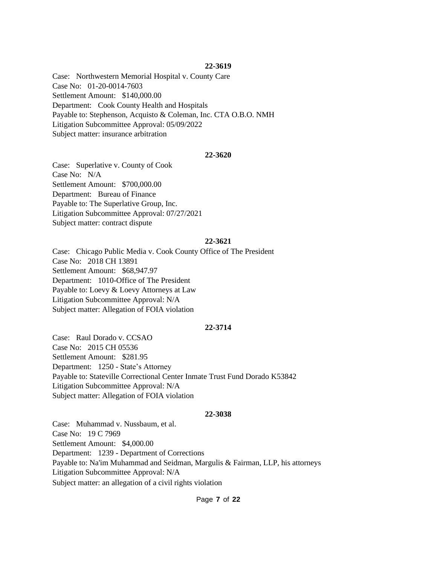Case: Northwestern Memorial Hospital v. County Care Case No: 01-20-0014-7603 Settlement Amount: \$140,000.00 Department: Cook County Health and Hospitals Payable to: Stephenson, Acquisto & Coleman, Inc. CTA O.B.O. NMH Litigation Subcommittee Approval: 05/09/2022 Subject matter: insurance arbitration

#### **22-3620**

Case: Superlative v. County of Cook Case No: N/A Settlement Amount: \$700,000.00 Department: Bureau of Finance Payable to: The Superlative Group, Inc. Litigation Subcommittee Approval: 07/27/2021 Subject matter: contract dispute

#### **22-3621**

Case: Chicago Public Media v. Cook County Office of The President Case No: 2018 CH 13891 Settlement Amount: \$68,947.97 Department: 1010-Office of The President Payable to: Loevy & Loevy Attorneys at Law Litigation Subcommittee Approval: N/A Subject matter: Allegation of FOIA violation

#### **22-3714**

Case: Raul Dorado v. CCSAO Case No: 2015 CH 05536 Settlement Amount: \$281.95 Department: 1250 - State's Attorney Payable to: Stateville Correctional Center Inmate Trust Fund Dorado K53842 Litigation Subcommittee Approval: N/A Subject matter: Allegation of FOIA violation

#### **22-3038**

Case: Muhammad v. Nussbaum, et al. Case No: 19 C 7969 Settlement Amount: \$4,000.00 Department: 1239 - Department of Corrections Payable to: Na'im Muhammad and Seidman, Margulis & Fairman, LLP, his attorneys Litigation Subcommittee Approval: N/A Subject matter: an allegation of a civil rights violation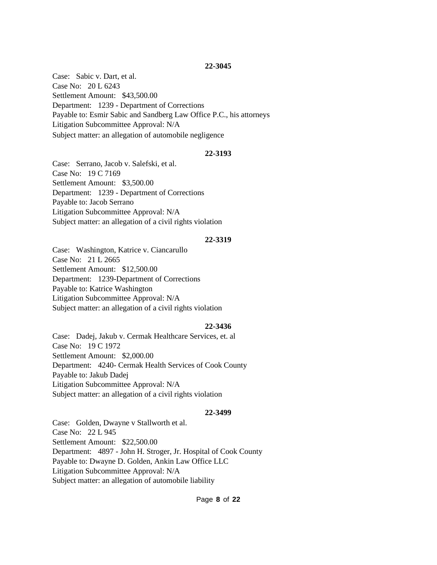Case: Sabic v. Dart, et al. Case No: 20 L 6243 Settlement Amount: \$43,500.00 Department: 1239 - Department of Corrections Payable to: Esmir Sabic and Sandberg Law Office P.C., his attorneys Litigation Subcommittee Approval: N/A Subject matter: an allegation of automobile negligence

## **22-3193**

Case: Serrano, Jacob v. Salefski, et al. Case No: 19 C 7169 Settlement Amount: \$3,500.00 Department: 1239 - Department of Corrections Payable to: Jacob Serrano Litigation Subcommittee Approval: N/A Subject matter: an allegation of a civil rights violation

### **22-3319**

Case: Washington, Katrice v. Ciancarullo Case No: 21 L 2665 Settlement Amount: \$12,500.00 Department: 1239-Department of Corrections Payable to: Katrice Washington Litigation Subcommittee Approval: N/A Subject matter: an allegation of a civil rights violation

#### **22-3436**

Case: Dadej, Jakub v. Cermak Healthcare Services, et. al Case No: 19 C 1972 Settlement Amount: \$2,000.00 Department: 4240- Cermak Health Services of Cook County Payable to: Jakub Dadej Litigation Subcommittee Approval: N/A Subject matter: an allegation of a civil rights violation

#### **22-3499**

Case: Golden, Dwayne v Stallworth et al. Case No: 22 L 945 Settlement Amount: \$22,500.00 Department: 4897 - John H. Stroger, Jr. Hospital of Cook County Payable to: Dwayne D. Golden, Ankin Law Office LLC Litigation Subcommittee Approval: N/A Subject matter: an allegation of automobile liability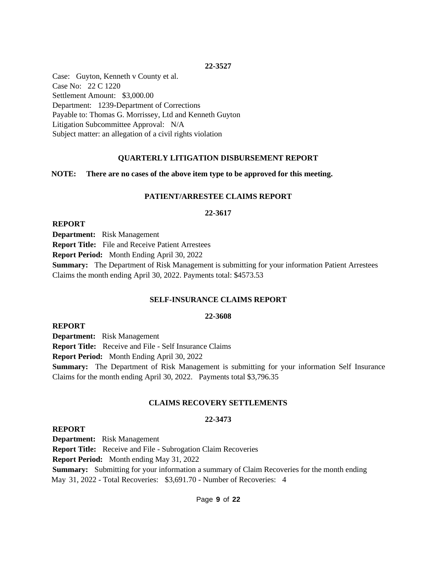Case: Guyton, Kenneth v County et al. Case No: 22 C 1220 Settlement Amount: \$3,000.00 Department: 1239-Department of Corrections Payable to: Thomas G. Morrissey, Ltd and Kenneth Guyton Litigation Subcommittee Approval: N/A Subject matter: an allegation of a civil rights violation

## **QUARTERLY LITIGATION DISBURSEMENT REPORT**

## **NOTE: There are no cases of the above item type to be approved for this meeting.**

## **PATIENT/ARRESTEE CLAIMS REPORT**

### **22-3617**

**REPORT**

**Department:** Risk Management

**Report Title:** File and Receive Patient Arrestees

**Report Period:** Month Ending April 30, 2022

**Summary:** The Department of Risk Management is submitting for your information Patient Arrestees Claims the month ending April 30, 2022. Payments total: \$4573.53

## **SELF-INSURANCE CLAIMS REPORT**

## **22-3608**

**REPORT**

**Department:** Risk Management

**Report Title:** Receive and File - Self Insurance Claims

**Report Period:** Month Ending April 30, 2022

**Summary:** The Department of Risk Management is submitting for your information Self Insurance Claims for the month ending April 30, 2022. Payments total \$3,796.35

## **CLAIMS RECOVERY SETTLEMENTS**

## **22-3473**

## **REPORT**

**Department:** Risk Management

**Report Title:** Receive and File - Subrogation Claim Recoveries

**Report Period:** Month ending May 31, 2022

**Summary:** Submitting for your information a summary of Claim Recoveries for the month ending May 31, 2022 - Total Recoveries: \$3,691.70 - Number of Recoveries: 4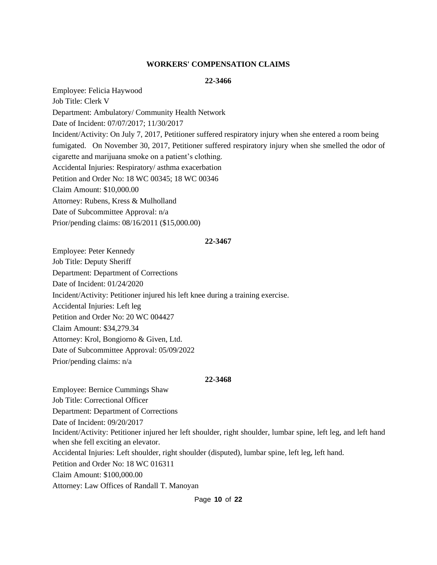## **WORKERS' COMPENSATION CLAIMS**

## **22-3466**

Employee: Felicia Haywood Job Title: Clerk V Department: Ambulatory/ Community Health Network Date of Incident: 07/07/2017; 11/30/2017 Incident/Activity: On July 7, 2017, Petitioner suffered respiratory injury when she entered a room being fumigated. On November 30, 2017, Petitioner suffered respiratory injury when she smelled the odor of cigarette and marijuana smoke on a patient's clothing. Accidental Injuries: Respiratory/ asthma exacerbation Petition and Order No: 18 WC 00345; 18 WC 00346 Claim Amount: \$10,000.00 Attorney: Rubens, Kress & Mulholland Date of Subcommittee Approval: n/a Prior/pending claims: 08/16/2011 (\$15,000.00)

### **22-3467**

Employee: Peter Kennedy Job Title: Deputy Sheriff Department: Department of Corrections Date of Incident: 01/24/2020 Incident/Activity: Petitioner injured his left knee during a training exercise. Accidental Injuries: Left leg Petition and Order No: 20 WC 004427 Claim Amount: \$34,279.34 Attorney: Krol, Bongiorno & Given, Ltd. Date of Subcommittee Approval: 05/09/2022 Prior/pending claims: n/a

#### **22-3468**

Employee: Bernice Cummings Shaw Job Title: Correctional Officer Department: Department of Corrections Date of Incident: 09/20/2017 Incident/Activity: Petitioner injured her left shoulder, right shoulder, lumbar spine, left leg, and left hand when she fell exciting an elevator. Accidental Injuries: Left shoulder, right shoulder (disputed), lumbar spine, left leg, left hand. Petition and Order No: 18 WC 016311 Claim Amount: \$100,000.00 Attorney: Law Offices of Randall T. Manoyan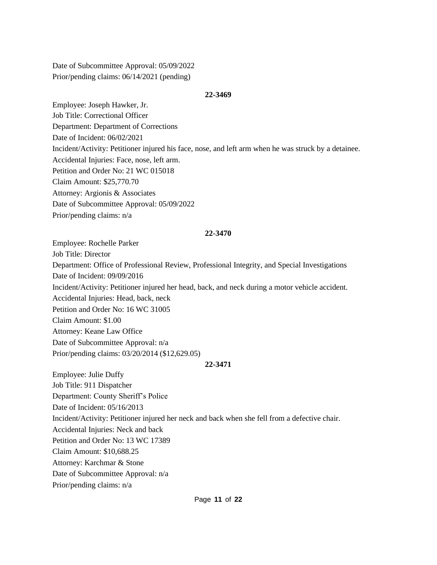Date of Subcommittee Approval: 05/09/2022 Prior/pending claims: 06/14/2021 (pending)

#### **22-3469**

Employee: Joseph Hawker, Jr. Job Title: Correctional Officer Department: Department of Corrections Date of Incident: 06/02/2021 Incident/Activity: Petitioner injured his face, nose, and left arm when he was struck by a detainee. Accidental Injuries: Face, nose, left arm. Petition and Order No: 21 WC 015018 Claim Amount: \$25,770.70 Attorney: Argionis & Associates Date of Subcommittee Approval: 05/09/2022 Prior/pending claims: n/a

### **22-3470**

Employee: Rochelle Parker Job Title: Director Department: Office of Professional Review, Professional Integrity, and Special Investigations Date of Incident: 09/09/2016 Incident/Activity: Petitioner injured her head, back, and neck during a motor vehicle accident. Accidental Injuries: Head, back, neck Petition and Order No: 16 WC 31005 Claim Amount: \$1.00 Attorney: Keane Law Office Date of Subcommittee Approval: n/a Prior/pending claims: 03/20/2014 (\$12,629.05) **22-3471**

Employee: Julie Duffy Job Title: 911 Dispatcher Department: County Sheriff's Police Date of Incident: 05/16/2013 Incident/Activity: Petitioner injured her neck and back when she fell from a defective chair. Accidental Injuries: Neck and back Petition and Order No: 13 WC 17389 Claim Amount: \$10,688.25 Attorney: Karchmar & Stone Date of Subcommittee Approval: n/a Prior/pending claims: n/a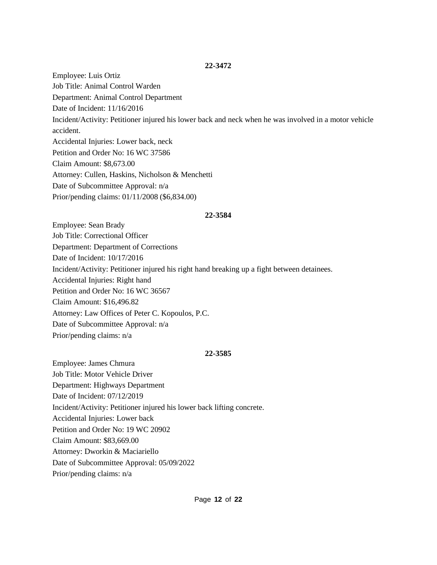Employee: Luis Ortiz Job Title: Animal Control Warden Department: Animal Control Department Date of Incident: 11/16/2016 Incident/Activity: Petitioner injured his lower back and neck when he was involved in a motor vehicle accident. Accidental Injuries: Lower back, neck Petition and Order No: 16 WC 37586 Claim Amount: \$8,673.00 Attorney: Cullen, Haskins, Nicholson & Menchetti Date of Subcommittee Approval: n/a Prior/pending claims: 01/11/2008 (\$6,834.00)

### **22-3584**

Employee: Sean Brady Job Title: Correctional Officer Department: Department of Corrections Date of Incident: 10/17/2016 Incident/Activity: Petitioner injured his right hand breaking up a fight between detainees. Accidental Injuries: Right hand Petition and Order No: 16 WC 36567 Claim Amount: \$16,496.82 Attorney: Law Offices of Peter C. Kopoulos, P.C. Date of Subcommittee Approval: n/a Prior/pending claims: n/a

## **22-3585**

Employee: James Chmura Job Title: Motor Vehicle Driver Department: Highways Department Date of Incident: 07/12/2019 Incident/Activity: Petitioner injured his lower back lifting concrete. Accidental Injuries: Lower back Petition and Order No: 19 WC 20902 Claim Amount: \$83,669.00 Attorney: Dworkin & Maciariello Date of Subcommittee Approval: 05/09/2022 Prior/pending claims: n/a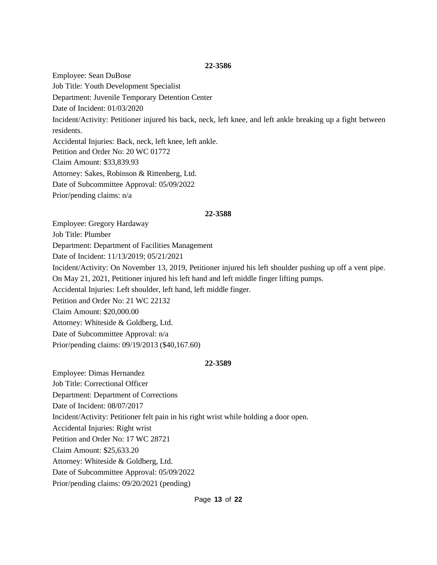Employee: Sean DuBose Job Title: Youth Development Specialist Department: Juvenile Temporary Detention Center Date of Incident: 01/03/2020 Incident/Activity: Petitioner injured his back, neck, left knee, and left ankle breaking up a fight between residents. Accidental Injuries: Back, neck, left knee, left ankle. Petition and Order No: 20 WC 01772 Claim Amount: \$33,839.93 Attorney: Sakes, Robinson & Rittenberg, Ltd. Date of Subcommittee Approval: 05/09/2022 Prior/pending claims: n/a

#### **22-3588**

Employee: Gregory Hardaway

Job Title: Plumber

Department: Department of Facilities Management

Date of Incident: 11/13/2019; 05/21/2021

Incident/Activity: On November 13, 2019, Petitioner injured his left shoulder pushing up off a vent pipe.

On May 21, 2021, Petitioner injured his left hand and left middle finger lifting pumps.

Accidental Injuries: Left shoulder, left hand, left middle finger.

Petition and Order No: 21 WC 22132

Claim Amount: \$20,000.00

Attorney: Whiteside & Goldberg, Ltd.

Date of Subcommittee Approval: n/a

Prior/pending claims: 09/19/2013 (\$40,167.60)

#### **22-3589**

Employee: Dimas Hernandez Job Title: Correctional Officer Department: Department of Corrections Date of Incident: 08/07/2017 Incident/Activity: Petitioner felt pain in his right wrist while holding a door open. Accidental Injuries: Right wrist Petition and Order No: 17 WC 28721 Claim Amount: \$25,633.20 Attorney: Whiteside & Goldberg, Ltd. Date of Subcommittee Approval: 05/09/2022 Prior/pending claims: 09/20/2021 (pending)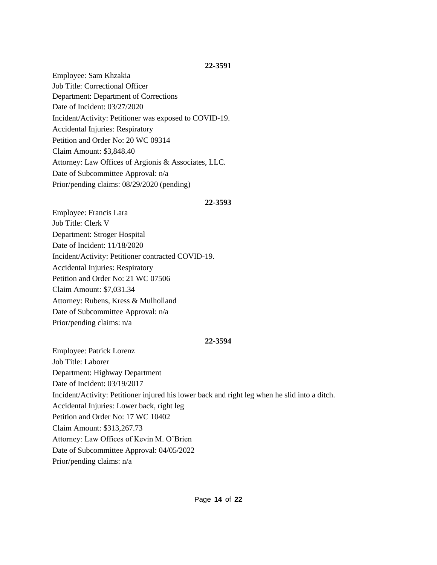Employee: Sam Khzakia Job Title: Correctional Officer Department: Department of Corrections Date of Incident: 03/27/2020 Incident/Activity: Petitioner was exposed to COVID-19. Accidental Injuries: Respiratory Petition and Order No: 20 WC 09314 Claim Amount: \$3,848.40 Attorney: Law Offices of Argionis & Associates, LLC. Date of Subcommittee Approval: n/a Prior/pending claims: 08/29/2020 (pending)

### **22-3593**

Employee: Francis Lara Job Title: Clerk V Department: Stroger Hospital Date of Incident: 11/18/2020 Incident/Activity: Petitioner contracted COVID-19. Accidental Injuries: Respiratory Petition and Order No: 21 WC 07506 Claim Amount: \$7,031.34 Attorney: Rubens, Kress & Mulholland Date of Subcommittee Approval: n/a Prior/pending claims: n/a

## **22-3594**

Employee: Patrick Lorenz Job Title: Laborer Department: Highway Department Date of Incident: 03/19/2017 Incident/Activity: Petitioner injured his lower back and right leg when he slid into a ditch. Accidental Injuries: Lower back, right leg Petition and Order No: 17 WC 10402 Claim Amount: \$313,267.73 Attorney: Law Offices of Kevin M. O'Brien Date of Subcommittee Approval: 04/05/2022 Prior/pending claims: n/a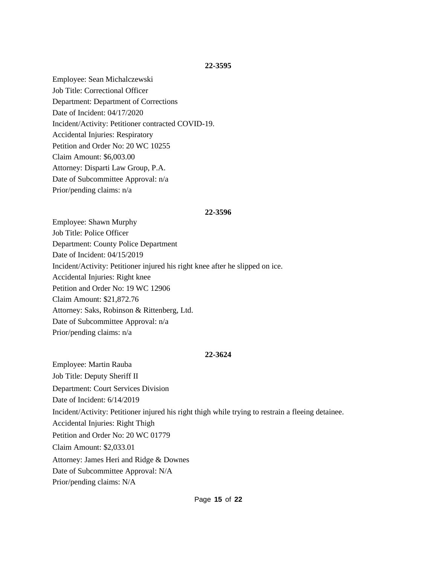Employee: Sean Michalczewski Job Title: Correctional Officer Department: Department of Corrections Date of Incident: 04/17/2020 Incident/Activity: Petitioner contracted COVID-19. Accidental Injuries: Respiratory Petition and Order No: 20 WC 10255 Claim Amount: \$6,003.00 Attorney: Disparti Law Group, P.A. Date of Subcommittee Approval: n/a Prior/pending claims: n/a

#### **22-3596**

Employee: Shawn Murphy Job Title: Police Officer Department: County Police Department Date of Incident: 04/15/2019 Incident/Activity: Petitioner injured his right knee after he slipped on ice. Accidental Injuries: Right knee Petition and Order No: 19 WC 12906 Claim Amount: \$21,872.76 Attorney: Saks, Robinson & Rittenberg, Ltd. Date of Subcommittee Approval: n/a Prior/pending claims: n/a

## **22-3624**

Employee: Martin Rauba Job Title: Deputy Sheriff II Department: Court Services Division Date of Incident: 6/14/2019 Incident/Activity: Petitioner injured his right thigh while trying to restrain a fleeing detainee. Accidental Injuries: Right Thigh Petition and Order No: 20 WC 01779 Claim Amount: \$2,033.01 Attorney: James Heri and Ridge & Downes Date of Subcommittee Approval: N/A Prior/pending claims: N/A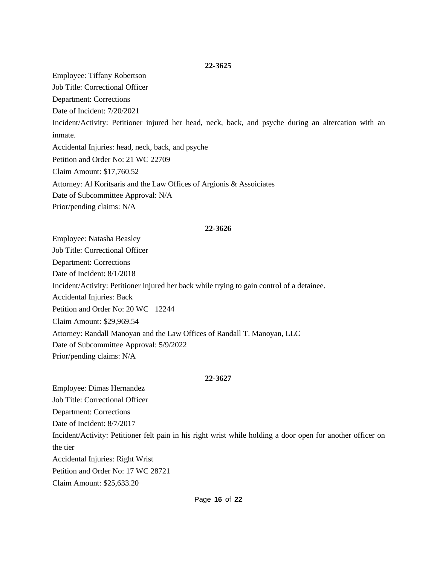Employee: Tiffany Robertson Job Title: Correctional Officer Department: Corrections Date of Incident: 7/20/2021 Incident/Activity: Petitioner injured her head, neck, back, and psyche during an altercation with an inmate. Accidental Injuries: head, neck, back, and psyche Petition and Order No: 21 WC 22709 Claim Amount: \$17,760.52 Attorney: Al Koritsaris and the Law Offices of Argionis & Assoiciates Date of Subcommittee Approval: N/A Prior/pending claims: N/A

#### **22-3626**

Employee: Natasha Beasley Job Title: Correctional Officer Department: Corrections Date of Incident: 8/1/2018 Incident/Activity: Petitioner injured her back while trying to gain control of a detainee. Accidental Injuries: Back Petition and Order No: 20 WC 12244 Claim Amount: \$29,969.54 Attorney: Randall Manoyan and the Law Offices of Randall T. Manoyan, LLC Date of Subcommittee Approval: 5/9/2022 Prior/pending claims: N/A

#### **22-3627**

Employee: Dimas Hernandez Job Title: Correctional Officer Department: Corrections Date of Incident: 8/7/2017 Incident/Activity: Petitioner felt pain in his right wrist while holding a door open for another officer on the tier Accidental Injuries: Right Wrist Petition and Order No: 17 WC 28721 Claim Amount: \$25,633.20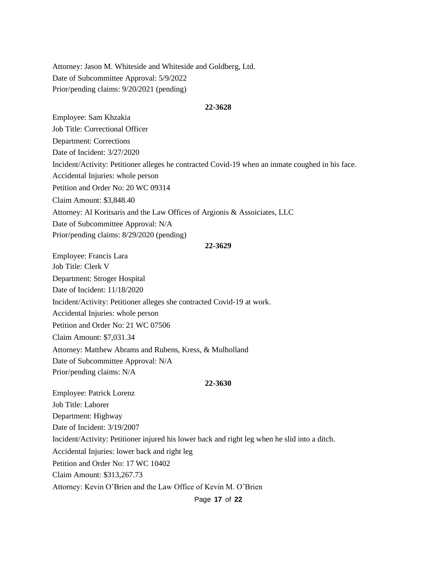Attorney: Jason M. Whiteside and Whiteside and Goldberg, Ltd. Date of Subcommittee Approval: 5/9/2022 Prior/pending claims: 9/20/2021 (pending)

#### **22-3628**

Employee: Sam Khzakia

Job Title: Correctional Officer

Department: Corrections

Date of Incident: 3/27/2020

Incident/Activity: Petitioner alleges he contracted Covid-19 when an inmate coughed in his face.

Accidental Injuries: whole person

Petition and Order No: 20 WC 09314

Claim Amount: \$3,848.40

Attorney: Al Koritsaris and the Law Offices of Argionis & Assoiciates, LLC

Date of Subcommittee Approval: N/A

Prior/pending claims: 8/29/2020 (pending)

#### **22-3629**

Employee: Francis Lara Job Title: Clerk V Department: Stroger Hospital Date of Incident: 11/18/2020 Incident/Activity: Petitioner alleges she contracted Covid-19 at work. Accidental Injuries: whole person Petition and Order No: 21 WC 07506 Claim Amount: \$7,031.34 Attorney: Matthew Abrams and Rubens, Kress, & Mulholland Date of Subcommittee Approval: N/A Prior/pending claims: N/A

#### **22-3630**

Employee: Patrick Lorenz Job Title: Laborer Department: Highway Date of Incident: 3/19/2007 Incident/Activity: Petitioner injured his lower back and right leg when he slid into a ditch. Accidental Injuries: lower back and right leg Petition and Order No: 17 WC 10402 Claim Amount: \$313,267.73

Attorney: Kevin O'Brien and the Law Office of Kevin M. O'Brien

Page **17** of **22**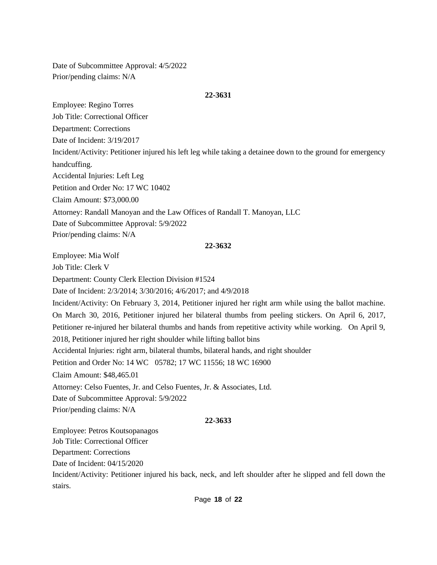Date of Subcommittee Approval: 4/5/2022 Prior/pending claims: N/A

### **22-3631**

Employee: Regino Torres

Job Title: Correctional Officer

Department: Corrections

Date of Incident: 3/19/2017

Incident/Activity: Petitioner injured his left leg while taking a detainee down to the ground for emergency

handcuffing.

Accidental Injuries: Left Leg

Petition and Order No: 17 WC 10402

Claim Amount: \$73,000.00

Attorney: Randall Manoyan and the Law Offices of Randall T. Manoyan, LLC

Date of Subcommittee Approval: 5/9/2022

Prior/pending claims: N/A

## **22-3632**

Employee: Mia Wolf Job Title: Clerk V Department: County Clerk Election Division #1524 Date of Incident: 2/3/2014; 3/30/2016; 4/6/2017; and 4/9/2018 Incident/Activity: On February 3, 2014, Petitioner injured her right arm while using the ballot machine. On March 30, 2016, Petitioner injured her bilateral thumbs from peeling stickers. On April 6, 2017, Petitioner re-injured her bilateral thumbs and hands from repetitive activity while working. On April 9, 2018, Petitioner injured her right shoulder while lifting ballot bins Accidental Injuries: right arm, bilateral thumbs, bilateral hands, and right shoulder Petition and Order No: 14 WC 05782; 17 WC 11556; 18 WC 16900 Claim Amount: \$48,465.01 Attorney: Celso Fuentes, Jr. and Celso Fuentes, Jr. & Associates, Ltd. Date of Subcommittee Approval: 5/9/2022 Prior/pending claims: N/A **22-3633** Employee: Petros Koutsopanagos Job Title: Correctional Officer Department: Corrections

Date of Incident: 04/15/2020

Incident/Activity: Petitioner injured his back, neck, and left shoulder after he slipped and fell down the stairs.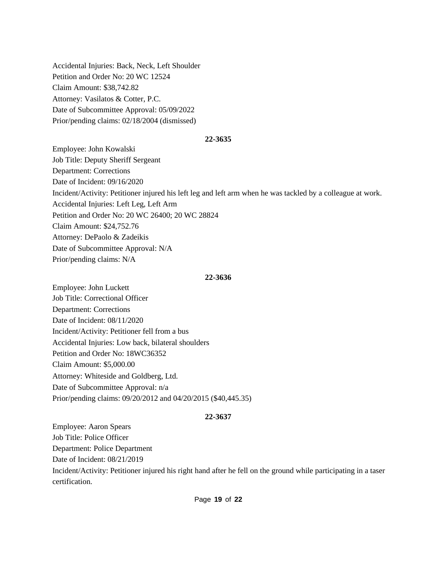Accidental Injuries: Back, Neck, Left Shoulder Petition and Order No: 20 WC 12524 Claim Amount: \$38,742.82 Attorney: Vasilatos & Cotter, P.C. Date of Subcommittee Approval: 05/09/2022 Prior/pending claims: 02/18/2004 (dismissed)

#### **22-3635**

Employee: John Kowalski Job Title: Deputy Sheriff Sergeant Department: Corrections Date of Incident: 09/16/2020 Incident/Activity: Petitioner injured his left leg and left arm when he was tackled by a colleague at work. Accidental Injuries: Left Leg, Left Arm Petition and Order No: 20 WC 26400; 20 WC 28824 Claim Amount: \$24,752.76 Attorney: DePaolo & Zadeikis Date of Subcommittee Approval: N/A Prior/pending claims: N/A

### **22-3636**

Employee: John Luckett Job Title: Correctional Officer Department: Corrections Date of Incident: 08/11/2020 Incident/Activity: Petitioner fell from a bus Accidental Injuries: Low back, bilateral shoulders Petition and Order No: 18WC36352 Claim Amount: \$5,000.00 Attorney: Whiteside and Goldberg, Ltd. Date of Subcommittee Approval: n/a Prior/pending claims: 09/20/2012 and 04/20/2015 (\$40,445.35)

## **22-3637**

Employee: Aaron Spears Job Title: Police Officer Department: Police Department Date of Incident: 08/21/2019 Incident/Activity: Petitioner injured his right hand after he fell on the ground while participating in a taser certification.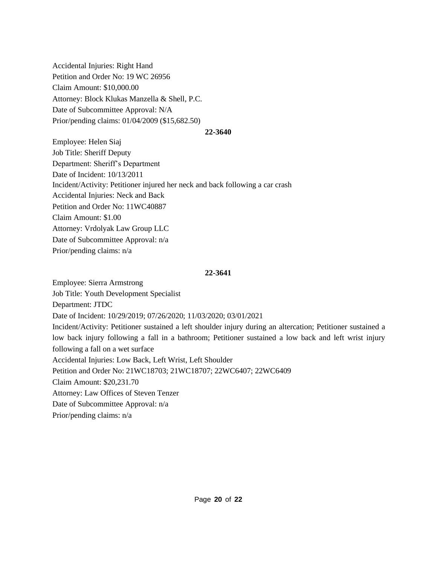Accidental Injuries: Right Hand Petition and Order No: 19 WC 26956 Claim Amount: \$10,000.00 Attorney: Block Klukas Manzella & Shell, P.C. Date of Subcommittee Approval: N/A Prior/pending claims: 01/04/2009 (\$15,682.50)

#### **22-3640**

Employee: Helen Siaj Job Title: Sheriff Deputy Department: Sheriff's Department Date of Incident: 10/13/2011 Incident/Activity: Petitioner injured her neck and back following a car crash Accidental Injuries: Neck and Back Petition and Order No: 11WC40887 Claim Amount: \$1.00 Attorney: Vrdolyak Law Group LLC Date of Subcommittee Approval: n/a Prior/pending claims: n/a

### **22-3641**

Employee: Sierra Armstrong Job Title: Youth Development Specialist Department: JTDC Date of Incident: 10/29/2019; 07/26/2020; 11/03/2020; 03/01/2021 Incident/Activity: Petitioner sustained a left shoulder injury during an altercation; Petitioner sustained a low back injury following a fall in a bathroom; Petitioner sustained a low back and left wrist injury following a fall on a wet surface Accidental Injuries: Low Back, Left Wrist, Left Shoulder Petition and Order No: 21WC18703; 21WC18707; 22WC6407; 22WC6409 Claim Amount: \$20,231.70 Attorney: Law Offices of Steven Tenzer Date of Subcommittee Approval: n/a Prior/pending claims: n/a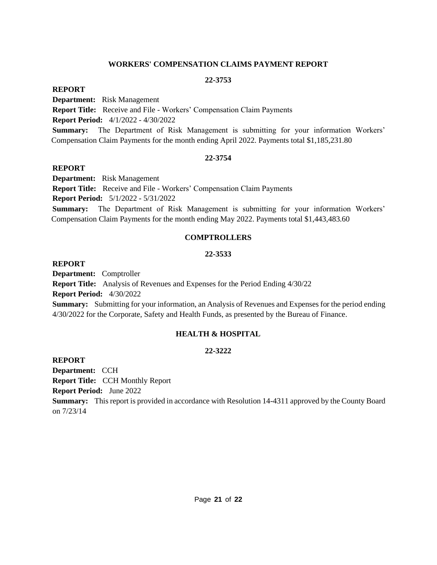## **WORKERS' COMPENSATION CLAIMS PAYMENT REPORT**

## **22-3753**

## **REPORT**

**Department:** Risk Management

**Report Title:** Receive and File - Workers' Compensation Claim Payments

**Report Period:** 4/1/2022 - 4/30/2022

**Summary:** The Department of Risk Management is submitting for your information Workers' Compensation Claim Payments for the month ending April 2022. Payments total \$1,185,231.80

## **22-3754**

## **REPORT**

**Department:** Risk Management

**Report Title:** Receive and File - Workers' Compensation Claim Payments

**Report Period:** 5/1/2022 - 5/31/2022

**Summary:** The Department of Risk Management is submitting for your information Workers' Compensation Claim Payments for the month ending May 2022. Payments total \$1,443,483.60

## **COMPTROLLERS**

## **22-3533**

## **REPORT**

**Department:** Comptroller

**Report Title:** Analysis of Revenues and Expenses for the Period Ending 4/30/22 **Report Period:** 4/30/2022

**Summary:** Submitting for your information, an Analysis of Revenues and Expenses for the period ending 4/30/2022 for the Corporate, Safety and Health Funds, as presented by the Bureau of Finance.

## **HEALTH & HOSPITAL**

## **22-3222**

## **REPORT**

**Department:** CCH **Report Title:** CCH Monthly Report

**Report Period:** June 2022

**Summary:** This report is provided in accordance with Resolution 14-4311 approved by the County Board on 7/23/14